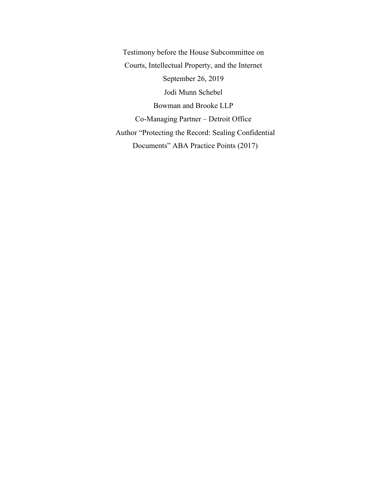Testimony before the House Subcommittee on Courts, Intellectual Property, and the Internet September 26, 2019 Jodi Munn Schebel Bowman and Brooke LLP Co-Managing Partner – Detroit Office Author "Protecting the Record: Sealing Confidential Documents" ABA Practice Points (2017)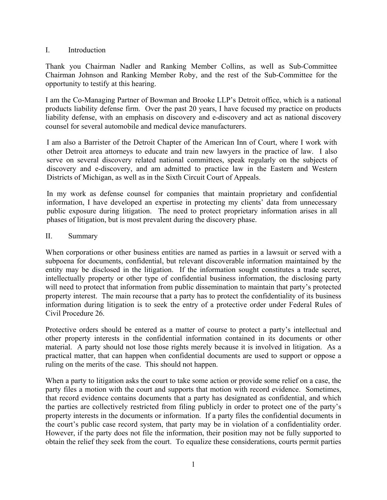#### I. Introduction

Thank you Chairman Nadler and Ranking Member Collins, as well as Sub-Committee Chairman Johnson and Ranking Member Roby, and the rest of the Sub-Committee for the opportunity to testify at this hearing.

I am the Co-Managing Partner of Bowman and Brooke LLP's Detroit office, which is a national products liability defense firm. Over the past 20 years, I have focused my practice on products liability defense, with an emphasis on discovery and e-discovery and act as national discovery counsel for several automobile and medical device manufacturers.

I am also a Barrister of the Detroit Chapter of the American Inn of Court, where I work with other Detroit area attorneys to educate and train new lawyers in the practice of law. I also serve on several discovery related national committees, speak regularly on the subjects of discovery and e-discovery, and am admitted to practice law in the Eastern and Western Districts of Michigan, as well as in the Sixth Circuit Court of Appeals.

In my work as defense counsel for companies that maintain proprietary and confidential information, I have developed an expertise in protecting my clients' data from unnecessary public exposure during litigation. The need to protect proprietary information arises in all phases of litigation, but is most prevalent during the discovery phase.

#### II. Summary

When corporations or other business entities are named as parties in a lawsuit or served with a subpoena for documents, confidential, but relevant discoverable information maintained by the entity may be disclosed in the litigation. If the information sought constitutes a trade secret, intellectually property or other type of confidential business information, the disclosing party will need to protect that information from public dissemination to maintain that party's protected property interest. The main recourse that a party has to protect the confidentiality of its business information during litigation is to seek the entry of a protective order under Federal Rules of Civil Procedure 26.

Protective orders should be entered as a matter of course to protect a party's intellectual and other property interests in the confidential information contained in its documents or other material. A party should not lose those rights merely because it is involved in litigation. As a practical matter, that can happen when confidential documents are used to support or oppose a ruling on the merits of the case. This should not happen.

When a party to litigation asks the court to take some action or provide some relief on a case, the party files a motion with the court and supports that motion with record evidence. Sometimes, that record evidence contains documents that a party has designated as confidential, and which the parties are collectively restricted from filing publicly in order to protect one of the party's property interests in the documents or information. If a party files the confidential documents in the court's public case record system, that party may be in violation of a confidentiality order. However, if the party does not file the information, their position may not be fully supported to obtain the relief they seek from the court. To equalize these considerations, courts permit parties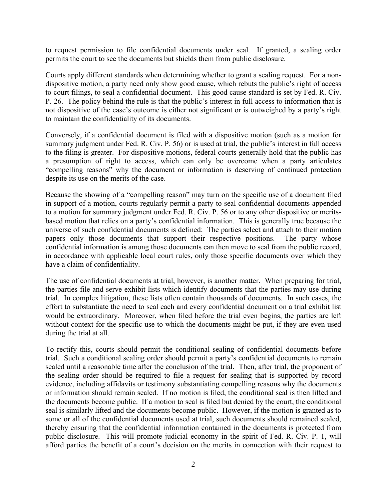to request permission to file confidential documents under seal. If granted, a sealing order permits the court to see the documents but shields them from public disclosure.

Courts apply different standards when determining whether to grant a sealing request. For a nondispositive motion, a party need only show good cause, which rebuts the public's right of access to court filings, to seal a confidential document. This good cause standard is set by Fed. R. Civ. P. 26. The policy behind the rule is that the public's interest in full access to information that is not dispositive of the case's outcome is either not significant or is outweighed by a party's right to maintain the confidentiality of its documents.

Conversely, if a confidential document is filed with a dispositive motion (such as a motion for summary judgment under Fed. R. Civ. P. 56) or is used at trial, the public's interest in full access to the filing is greater. For dispositive motions, federal courts generally hold that the public has a presumption of right to access, which can only be overcome when a party articulates "compelling reasons" why the document or information is deserving of continued protection despite its use on the merits of the case.

Because the showing of a "compelling reason" may turn on the specific use of a document filed in support of a motion, courts regularly permit a party to seal confidential documents appended to a motion for summary judgment under Fed. R. Civ. P. 56 or to any other dispositive or meritsbased motion that relies on a party's confidential information. This is generally true because the universe of such confidential documents is defined: The parties select and attach to their motion papers only those documents that support their respective positions. The party whose confidential information is among those documents can then move to seal from the public record, in accordance with applicable local court rules, only those specific documents over which they have a claim of confidentiality.

The use of confidential documents at trial, however, is another matter. When preparing for trial, the parties file and serve exhibit lists which identify documents that the parties may use during trial. In complex litigation, these lists often contain thousands of documents. In such cases, the effort to substantiate the need to seal each and every confidential document on a trial exhibit list would be extraordinary. Moreover, when filed before the trial even begins, the parties are left without context for the specific use to which the documents might be put, if they are even used during the trial at all.

To rectify this, courts should permit the conditional sealing of confidential documents before trial. Such a conditional sealing order should permit a party's confidential documents to remain sealed until a reasonable time after the conclusion of the trial. Then, after trial, the proponent of the sealing order should be required to file a request for sealing that is supported by record evidence, including affidavits or testimony substantiating compelling reasons why the documents or information should remain sealed. If no motion is filed, the conditional seal is then lifted and the documents become public. If a motion to seal is filed but denied by the court, the conditional seal is similarly lifted and the documents become public. However, if the motion is granted as to some or all of the confidential documents used at trial, such documents should remained sealed, thereby ensuring that the confidential information contained in the documents is protected from public disclosure. This will promote judicial economy in the spirit of Fed. R. Civ. P. 1, will afford parties the benefit of a court's decision on the merits in connection with their request to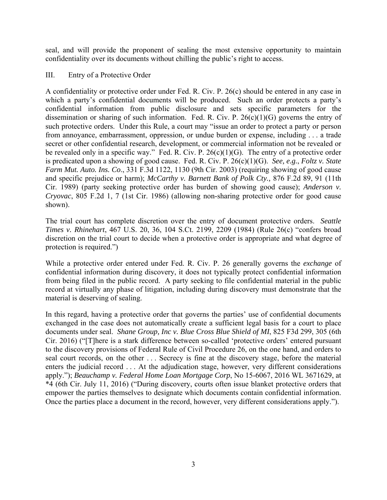seal, and will provide the proponent of sealing the most extensive opportunity to maintain confidentiality over its documents without chilling the public's right to access.

# III. Entry of a Protective Order

A confidentiality or protective order under Fed. R. Civ. P. 26(c) should be entered in any case in which a party's confidential documents will be produced. Such an order protects a party's confidential information from public disclosure and sets specific parameters for the dissemination or sharing of such information. Fed. R. Civ. P.  $26(c)(1)(G)$  governs the entry of such protective orders. Under this Rule, a court may "issue an order to protect a party or person from annoyance, embarrassment, oppression, or undue burden or expense, including . . . a trade secret or other confidential research, development, or commercial information not be revealed or be revealed only in a specific way." Fed. R. Civ. P.  $26(c)(1)(G)$ . The entry of a protective order is predicated upon a showing of good cause. Fed. R. Civ. P. 26(c)(1)(G). *See, e.g.*, *Foltz v. State Farm Mut. Auto. Ins. Co*., 331 F.3d 1122, 1130 (9th Cir. 2003) (requiring showing of good cause and specific prejudice or harm); *McCarthy v. Barnett Bank of Polk Cty.,* 876 F.2d 89, 91 (11th Cir. 1989) (party seeking protective order has burden of showing good cause); *Anderson v. Cryovac*, 805 F.2d 1, 7 (1st Cir. 1986) (allowing non-sharing protective order for good cause shown).

The trial court has complete discretion over the entry of document protective orders. *Seattle Times v. Rhinehart*, 467 U.S. 20, 36, 104 S.Ct. 2199, 2209 (1984) (Rule 26(c) "confers broad discretion on the trial court to decide when a protective order is appropriate and what degree of protection is required.")

While a protective order entered under Fed. R. Civ. P. 26 generally governs the *exchange* of confidential information during discovery, it does not typically protect confidential information from being filed in the public record. A party seeking to file confidential material in the public record at virtually any phase of litigation, including during discovery must demonstrate that the material is deserving of sealing.

In this regard, having a protective order that governs the parties' use of confidential documents exchanged in the case does not automatically create a sufficient legal basis for a court to place documents under seal. *Shane Group, Inc v. Blue Cross Blue Shield of MI*, 825 F3d 299, 305 (6th Cir. 2016) ("[T]here is a stark difference between so-called 'protective orders' entered pursuant to the discovery provisions of Federal Rule of Civil Procedure 26, on the one hand, and orders to seal court records, on the other . . . Secrecy is fine at the discovery stage, before the material enters the judicial record . . . At the adjudication stage, however, very different considerations apply."); *Beauchamp v. Federal Home Loan Mortgage Corp*, No 15-6067, 2016 WL 3671629, at \*4 (6th Cir. July 11, 2016) ("During discovery, courts often issue blanket protective orders that empower the parties themselves to designate which documents contain confidential information. Once the parties place a document in the record, however, very different considerations apply.").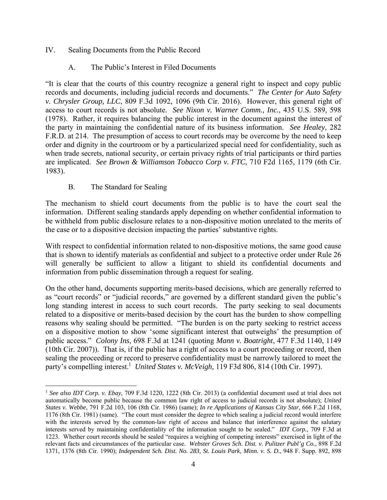# IV. Sealing Documents from the Public Record

# A. The Public's Interest in Filed Documents

"It is clear that the courts of this country recognize a general right to inspect and copy public records and documents, including judicial records and documents." *The Center for Auto Safety v. Chrysler Group, LLC*, 809 F.3d 1092, 1096 (9th Cir. 2016). However, this general right of access to court records is not absolute. *See Nixon v. Warner Comm., Inc.*, 435 U.S. 589, 598 (1978). Rather, it requires balancing the public interest in the document against the interest of the party in maintaining the confidential nature of its business information. *See Healey*, 282 F.R.D. at 214. The presumption of access to court records may be overcome by the need to keep order and dignity in the courtroom or by a particularized special need for confidentiality, such as when trade secrets, national security, or certain privacy rights of trial participants or third parties are implicated. *See Brown & Williamson Tobacco Corp v. FTC*, 710 F2d 1165, 1179 (6th Cir. 1983).

# B. The Standard for Sealing

 $\overline{a}$ 

The mechanism to shield court documents from the public is to have the court seal the information. Different sealing standards apply depending on whether confidential information to be withheld from public disclosure relates to a non-dispositive motion unrelated to the merits of the case or to a dispositive decision impacting the parties' substantive rights.

With respect to confidential information related to non-dispositive motions, the same good cause that is shown to identify materials as confidential and subject to a protective order under Rule 26 will generally be sufficient to allow a litigant to shield its confidential documents and information from public dissemination through a request for sealing.

On the other hand, documents supporting merits-based decisions, which are generally referred to as "court records" or "judicial records," are governed by a different standard given the public's long standing interest in access to such court records. The party seeking to seal documents related to a dispositive or merits-based decision by the court has the burden to show compelling reasons why sealing should be permitted. "The burden is on the party seeking to restrict access on a dispositive motion to show 'some significant interest that outweighs' the presumption of public access." *Colony Ins*, 698 F.3d at 1241 (quoting *Mann v. Boatright*, 477 F.3d 1140, 1149 (10th Cir. 2007)). That is, if the public has a right of access to a court proceeding or record, then sealing the proceeding or record to preserve confidentiality must be narrowly tailored to meet the party's compelling interest.<sup>1</sup> United States v. McVeigh, 119 F3d 806, 814 (10th Cir. 1997).

<sup>1</sup> *See also IDT Corp. v. Ebay*, 709 F.3d 1220, 1222 (8th Cir. 2013) (a confidential document used at trial does not automatically become public because the common law right of access to judicial records is not absolute); *United States v. Webbe*, 791 F.2d 103, 106 (8th Cir. 1986) (same); *In re Applications of Kansas City Star*, 666 F.2d 1168, 1176 (8th Cir. 1981) (same). "The court must consider the degree to which sealing a judicial record would interfere with the interests served by the common-law right of access and balance that interference against the salutary interests served by maintaining confidentiality of the information sought to be sealed." *IDT Corp.*, 709 F.3d at 1223. Whether court records should be sealed "requires a weighing of competing interests" exercised in light of the relevant facts and circumstances of the particular case. *Webster Groves Sch. Dist. v. Pulitzer Publ'g Co.*, 898 F.2d 1371, 1376 (8th Cir. 1990); *Independent Sch. Dist. No. 283, St. Louis Park, Minn. v. S. D.*, 948 F. Supp. 892, 898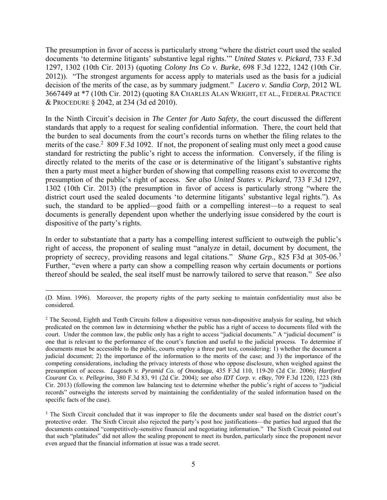The presumption in favor of access is particularly strong "where the district court used the sealed documents 'to determine litigants' substantive legal rights.'" *United States v. Pickard*, 733 F.3d 1297, 1302 (10th Cir. 2013) (quoting *Colony Ins Co v. Burke*, 698 F.3d 1222, 1242 (10th Cir. 2012)). "The strongest arguments for access apply to materials used as the basis for a judicial decision of the merits of the case, as by summary judgment." *Lucero v. Sandia Corp*, 2012 WL 3667449 at \*7 (10th Cir. 2012) (quoting 8A CHARLES ALAN WRIGHT, ET AL., FEDERAL PRACTICE & PROCEDURE § 2042, at 234 (3d ed 2010).

In the Ninth Circuit's decision in *The Center for Auto Safety*, the court discussed the different standards that apply to a request for sealing confidential information. There, the court held that the burden to seal documents from the court's records turns on whether the filing relates to the merits of the case.<sup>2</sup> 809 F.3d 1092. If not, the proponent of sealing must only meet a good cause standard for restricting the public's right to access the information. Conversely, if the filing is directly related to the merits of the case or is determinative of the litigant's substantive rights then a party must meet a higher burden of showing that compelling reasons exist to overcome the presumption of the public's right of access. *See also United States v. Pickard*, 733 F.3d 1297, 1302 (10th Cir. 2013) (the presumption in favor of access is particularly strong "where the district court used the sealed documents 'to determine litigants' substantive legal rights."). As such, the standard to be applied—good faith or a compelling interest—to a request to seal documents is generally dependent upon whether the underlying issue considered by the court is dispositive of the party's rights.

In order to substantiate that a party has a compelling interest sufficient to outweigh the public's right of access, the proponent of sealing must "analyze in detail, document by document, the propriety of secrecy, providing reasons and legal citations." *Shane Grp.,* 825 F3d at 305-06.<sup>3</sup> Further, "even where a party can show a compelling reason why certain documents or portions thereof should be sealed, the seal itself must be narrowly tailored to serve that reason." *See also*

 <sup>(</sup>D. Minn. 1996). Moreover, the property rights of the party seeking to maintain confidentiality must also be considered.

<sup>&</sup>lt;sup>2</sup> The Second, Eighth and Tenth Circuits follow a dispositive versus non-dispositive analysis for sealing, but which predicated on the common law in determining whether the public has a right of access to documents filed with the court. Under the common law, the public only has a right to access "judicial documents." A "judicial document" is one that is relevant to the performance of the court's function and useful to the judicial process. To determine if documents must be accessible to the public, courts employ a three part test, considering: 1) whether the document a judicial document; 2) the importance of the information to the merits of the case; and 3) the importance of the competing considerations, including the privacy interests of those who oppose disclosure, when weighed against the presumption of access. *Lugosch v. Pyramid Co. of Onondaga*, 435 F.3d 110, 119-20 (2d Cir. 2006); *Hartford Courant Co. v. Pellegrino*, 380 F.3d 83, 91 (2d Cir. 2004)*; see also IDT Corp. v. eBay*, 709 F.3d 1220, 1223 (8th Cir. 2013) (following the common law balancing test to determine whether the public's right of access to "judicial records" outweighs the interests served by maintaining the confidentiality of the sealed information based on the specific facts of the case).

<sup>&</sup>lt;sup>3</sup> The Sixth Circuit concluded that it was improper to file the documents under seal based on the district court's protective order. The Sixth Circuit also rejected the party's post hoc justifications—the parties had argued that the documents contained "competitively-sensitive financial and negotiating information." The Sixth Circuit pointed out that such "platitudes" did not allow the sealing proponent to meet its burden, particularly since the proponent never even argued that the financial information at issue was a trade secret.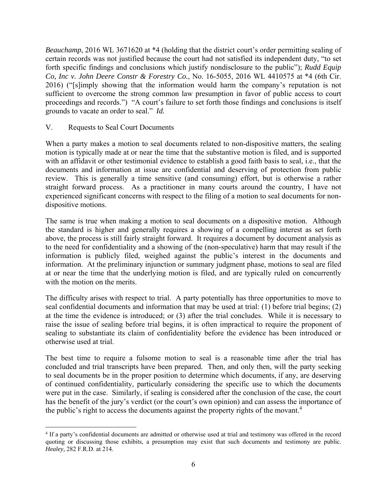*Beauchamp*, 2016 WL 3671620 at \*4 (holding that the district court's order permitting sealing of certain records was not justified because the court had not satisfied its independent duty, "to set forth specific findings and conclusions which justify nondisclosure to the public"); *Rudd Equip Co, Inc v. John Deere Constr & Forestry Co.*, No. 16-5055, 2016 WL 4410575 at \*4 (6th Cir. 2016) ("[s]imply showing that the information would harm the company's reputation is not sufficient to overcome the strong common law presumption in favor of public access to court proceedings and records.") "A court's failure to set forth those findings and conclusions is itself grounds to vacate an order to seal." *Id.*

#### V. Requests to Seal Court Documents

When a party makes a motion to seal documents related to non-dispositive matters, the sealing motion is typically made at or near the time that the substantive motion is filed, and is supported with an affidavit or other testimonial evidence to establish a good faith basis to seal, i.e., that the documents and information at issue are confidential and deserving of protection from public review. This is generally a time sensitive (and consuming) effort, but is otherwise a rather straight forward process. As a practitioner in many courts around the country, I have not experienced significant concerns with respect to the filing of a motion to seal documents for nondispositive motions.

The same is true when making a motion to seal documents on a dispositive motion. Although the standard is higher and generally requires a showing of a compelling interest as set forth above, the process is still fairly straight forward. It requires a document by document analysis as to the need for confidentiality and a showing of the (non-speculative) harm that may result if the information is publicly filed, weighed against the public's interest in the documents and information. At the preliminary injunction or summary judgment phase, motions to seal are filed at or near the time that the underlying motion is filed, and are typically ruled on concurrently with the motion on the merits.

The difficulty arises with respect to trial. A party potentially has three opportunities to move to seal confidential documents and information that may be used at trial: (1) before trial begins; (2) at the time the evidence is introduced; or (3) after the trial concludes. While it is necessary to raise the issue of sealing before trial begins, it is often impractical to require the proponent of sealing to substantiate its claim of confidentiality before the evidence has been introduced or otherwise used at trial.

The best time to require a fulsome motion to seal is a reasonable time after the trial has concluded and trial transcripts have been prepared. Then, and only then, will the party seeking to seal documents be in the proper position to determine which documents, if any, are deserving of continued confidentiality, particularly considering the specific use to which the documents were put in the case. Similarly, if sealing is considered after the conclusion of the case, the court has the benefit of the jury's verdict (or the court's own opinion) and can assess the importance of the public's right to access the documents against the property rights of the movant.<sup>4</sup>

 $\overline{a}$ <sup>4</sup> If a party's confidential documents are admitted or otherwise used at trial and testimony was offered in the record quoting or discussing those exhibits, a presumption may exist that such documents and testimony are public. *Healey,* 282 F.R.D. at 214.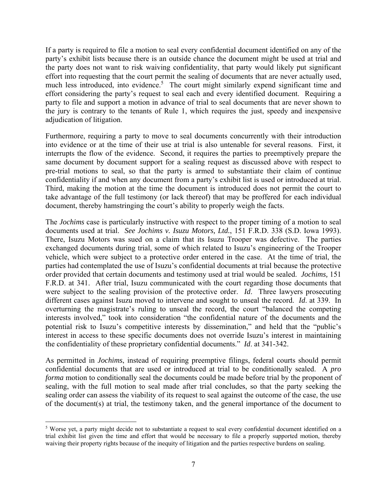If a party is required to file a motion to seal every confidential document identified on any of the party's exhibit lists because there is an outside chance the document might be used at trial and the party does not want to risk waiving confidentiality, that party would likely put significant effort into requesting that the court permit the sealing of documents that are never actually used, much less introduced, into evidence.<sup>5</sup> The court might similarly expend significant time and effort considering the party's request to seal each and every identified document. Requiring a party to file and support a motion in advance of trial to seal documents that are never shown to the jury is contrary to the tenants of Rule 1, which requires the just, speedy and inexpensive adjudication of litigation.

Furthermore, requiring a party to move to seal documents concurrently with their introduction into evidence or at the time of their use at trial is also untenable for several reasons. First, it interrupts the flow of the evidence. Second, it requires the parties to preemptively prepare the same document by document support for a sealing request as discussed above with respect to pre-trial motions to seal, so that the party is armed to substantiate their claim of continue confidentiality if and when any document from a party's exhibit list is used or introduced at trial. Third, making the motion at the time the document is introduced does not permit the court to take advantage of the full testimony (or lack thereof) that may be proffered for each individual document, thereby hamstringing the court's ability to properly weigh the facts.

The *Jochims* case is particularly instructive with respect to the proper timing of a motion to seal documents used at trial. *See Jochims v. Isuzu Motors, Ltd.*, 151 F.R.D. 338 (S.D. Iowa 1993). There, Isuzu Motors was sued on a claim that its Isuzu Trooper was defective. The parties exchanged documents during trial, some of which related to Isuzu's engineering of the Trooper vehicle, which were subject to a protective order entered in the case. At the time of trial, the parties had contemplated the use of Isuzu's confidential documents at trial because the protective order provided that certain documents and testimony used at trial would be sealed. *Jochims,* 151 F.R.D. at 341. After trial, Isuzu communicated with the court regarding those documents that were subject to the sealing provision of the protective order. *Id*. Three lawyers prosecuting different cases against Isuzu moved to intervene and sought to unseal the record. *Id*. at 339. In overturning the magistrate's ruling to unseal the record, the court "balanced the competing interests involved," took into consideration "the confidential nature of the documents and the potential risk to Isuzu's competitive interests by dissemination," and held that the "public's interest in access to these specific documents does not override Isuzu's interest in maintaining the confidentiality of these proprietary confidential documents." *Id*. at 341-342.

As permitted in *Jochims*, instead of requiring preemptive filings, federal courts should permit confidential documents that are used or introduced at trial to be conditionally sealed. A *pro forma* motion to conditionally seal the documents could be made before trial by the proponent of sealing, with the full motion to seal made after trial concludes, so that the party seeking the sealing order can assess the viability of its request to seal against the outcome of the case, the use of the document(s) at trial, the testimony taken, and the general importance of the document to

 $\overline{a}$ 

<sup>&</sup>lt;sup>5</sup> Worse yet, a party might decide not to substantiate a request to seal every confidential document identified on a trial exhibit list given the time and effort that would be necessary to file a properly supported motion, thereby waiving their property rights because of the inequity of litigation and the parties respective burdens on sealing.